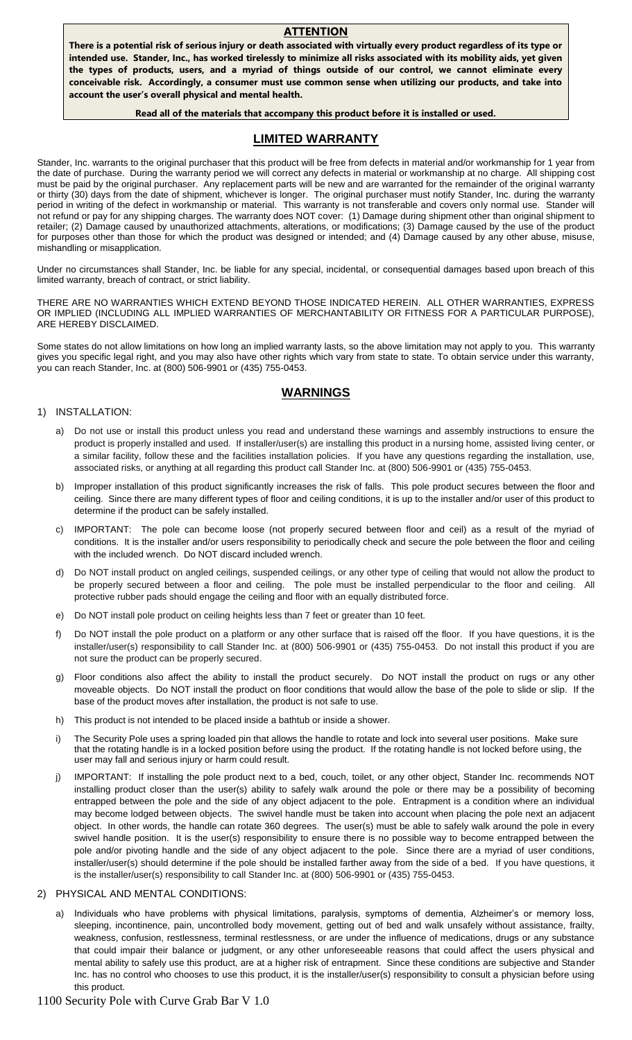#### **ATTENTION**

**There is a potential risk of serious injury or death associated with virtually every product regardless of its type or intended use. Stander, Inc., has worked tirelessly to minimize all risks associated with its mobility aids, yet given the types of products, users, and a myriad of things outside of our control, we cannot eliminate every conceivable risk. Accordingly, a consumer must use common sense when utilizing our products, and take into account the user's overall physical and mental health.**

#### **Read all of the materials that accompany this product before it is installed or used.**

### **LIMITED WARRANTY**

Stander, Inc. warrants to the original purchaser that this product will be free from defects in material and/or workmanship for 1 year from the date of purchase. During the warranty period we will correct any defects in material or workmanship at no charge. All shipping cost must be paid by the original purchaser. Any replacement parts will be new and are warranted for the remainder of the original warranty or thirty (30) days from the date of shipment, whichever is longer. The original purchaser must notify Stander, Inc. during the warranty period in writing of the defect in workmanship or material. This warranty is not transferable and covers only normal use. Stander will not refund or pay for any shipping charges. The warranty does NOT cover: (1) Damage during shipment other than original shipment to retailer; (2) Damage caused by unauthorized attachments, alterations, or modifications; (3) Damage caused by the use of the product for purposes other than those for which the product was designed or intended; and (4) Damage caused by any other abuse, misuse, mishandling or misapplication.

Under no circumstances shall Stander, Inc. be liable for any special, incidental, or consequential damages based upon breach of this limited warranty, breach of contract, or strict liability.

THERE ARE NO WARRANTIES WHICH EXTEND BEYOND THOSE INDICATED HEREIN. ALL OTHER WARRANTIES, EXPRESS OR IMPLIED (INCLUDING ALL IMPLIED WARRANTIES OF MERCHANTABILITY OR FITNESS FOR A PARTICULAR PURPOSE), ARE HEREBY DISCLAIMED.

Some states do not allow limitations on how long an implied warranty lasts, so the above limitation may not apply to you. This warranty gives you specific legal right, and you may also have other rights which vary from state to state. To obtain service under this warranty, you can reach Stander, Inc. at (800) 506-9901 or (435) 755-0453.

### **WARNINGS**

#### 1) INSTALLATION:

- a) Do not use or install this product unless you read and understand these warnings and assembly instructions to ensure the product is properly installed and used. If installer/user(s) are installing this product in a nursing home, assisted living center, or a similar facility, follow these and the facilities installation policies. If you have any questions regarding the installation, use, associated risks, or anything at all regarding this product call Stander Inc. at (800) 506-9901 or (435) 755-0453.
- b) Improper installation of this product significantly increases the risk of falls. This pole product secures between the floor and ceiling. Since there are many different types of floor and ceiling conditions, it is up to the installer and/or user of this product to determine if the product can be safely installed.
- c) IMPORTANT: The pole can become loose (not properly secured between floor and ceil) as a result of the myriad of conditions. It is the installer and/or users responsibility to periodically check and secure the pole between the floor and ceiling with the included wrench. Do NOT discard included wrench.
- d) Do NOT install product on angled ceilings, suspended ceilings, or any other type of ceiling that would not allow the product to be properly secured between a floor and ceiling. The pole must be installed perpendicular to the floor and ceiling. All protective rubber pads should engage the ceiling and floor with an equally distributed force.
- e) Do NOT install pole product on ceiling heights less than 7 feet or greater than 10 feet.
- f) Do NOT install the pole product on a platform or any other surface that is raised off the floor. If you have questions, it is the installer/user(s) responsibility to call Stander Inc. at (800) 506-9901 or (435) 755-0453. Do not install this product if you are not sure the product can be properly secured.
- g) Floor conditions also affect the ability to install the product securely. Do NOT install the product on rugs or any other moveable objects. Do NOT install the product on floor conditions that would allow the base of the pole to slide or slip. If the base of the product moves after installation, the product is not safe to use.
- h) This product is not intended to be placed inside a bathtub or inside a shower.
- i) The Security Pole uses a spring loaded pin that allows the handle to rotate and lock into several user positions. Make sure that the rotating handle is in a locked position before using the product. If the rotating handle is not locked before using, the user may fall and serious injury or harm could result.
- j) IMPORTANT: If installing the pole product next to a bed, couch, toilet, or any other object, Stander Inc. recommends NOT installing product closer than the user(s) ability to safely walk around the pole or there may be a possibility of becoming entrapped between the pole and the side of any object adjacent to the pole. Entrapment is a condition where an individual may become lodged between objects. The swivel handle must be taken into account when placing the pole next an adjacent object. In other words, the handle can rotate 360 degrees. The user(s) must be able to safely walk around the pole in every swivel handle position. It is the user(s) responsibility to ensure there is no possible way to become entrapped between the pole and/or pivoting handle and the side of any object adjacent to the pole. Since there are a myriad of user conditions, installer/user(s) should determine if the pole should be installed farther away from the side of a bed. If you have questions, it is the installer/user(s) responsibility to call Stander Inc. at (800) 506-9901 or (435) 755-0453.

#### 2) PHYSICAL AND MENTAL CONDITIONS:

Individuals who have problems with physical limitations, paralysis, symptoms of dementia, Alzheimer's or memory loss, sleeping, incontinence, pain, uncontrolled body movement, getting out of bed and walk unsafely without assistance, frailty, weakness, confusion, restlessness, terminal restlessness, or are under the influence of medications, drugs or any substance that could impair their balance or judgment, or any other unforeseeable reasons that could affect the users physical and mental ability to safely use this product, are at a higher risk of entrapment. Since these conditions are subjective and Stander Inc. has no control who chooses to use this product, it is the installer/user(s) responsibility to consult a physician before using this product.

1100 Security Pole with Curve Grab Bar V 1.0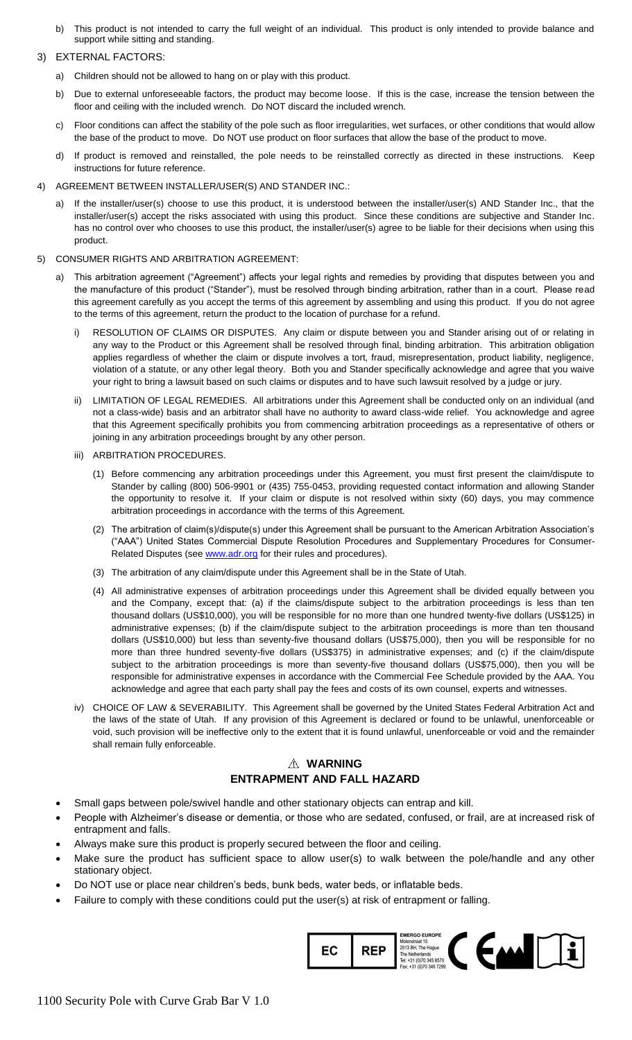b) This product is not intended to carry the full weight of an individual. This product is only intended to provide balance and support while sitting and standing.

#### 3) EXTERNAL FACTORS:

- a) Children should not be allowed to hang on or play with this product.
- b) Due to external unforeseeable factors, the product may become loose. If this is the case, increase the tension between the floor and ceiling with the included wrench. Do NOT discard the included wrench.
- c) Floor conditions can affect the stability of the pole such as floor irregularities, wet surfaces, or other conditions that would allow the base of the product to move. Do NOT use product on floor surfaces that allow the base of the product to move.
- d) If product is removed and reinstalled, the pole needs to be reinstalled correctly as directed in these instructions. Keep instructions for future reference.
- 4) AGREEMENT BETWEEN INSTALLER/USER(S) AND STANDER INC.:
	- a) If the installer/user(s) choose to use this product, it is understood between the installer/user(s) AND Stander Inc., that the installer/user(s) accept the risks associated with using this product. Since these conditions are subjective and Stander Inc. has no control over who chooses to use this product, the installer/user(s) agree to be liable for their decisions when using this product.
- 5) CONSUMER RIGHTS AND ARBITRATION AGREEMENT:
	- a) This arbitration agreement ("Agreement") affects your legal rights and remedies by providing that disputes between you and the manufacture of this product ("Stander"), must be resolved through binding arbitration, rather than in a court. Please read this agreement carefully as you accept the terms of this agreement by assembling and using this product. If you do not agree to the terms of this agreement, return the product to the location of purchase for a refund.
		- i) RESOLUTION OF CLAIMS OR DISPUTES. Any claim or dispute between you and Stander arising out of or relating in any way to the Product or this Agreement shall be resolved through final, binding arbitration. This arbitration obligation applies regardless of whether the claim or dispute involves a tort, fraud, misrepresentation, product liability, negligence, violation of a statute, or any other legal theory. Both you and Stander specifically acknowledge and agree that you waive your right to bring a lawsuit based on such claims or disputes and to have such lawsuit resolved by a judge or jury.
		- ii) LIMITATION OF LEGAL REMEDIES. All arbitrations under this Agreement shall be conducted only on an individual (and not a class-wide) basis and an arbitrator shall have no authority to award class-wide relief. You acknowledge and agree that this Agreement specifically prohibits you from commencing arbitration proceedings as a representative of others or joining in any arbitration proceedings brought by any other person.
		- iii) ARBITRATION PROCEDURES.
			- (1) Before commencing any arbitration proceedings under this Agreement, you must first present the claim/dispute to Stander by calling (800) 506-9901 or (435) 755-0453, providing requested contact information and allowing Stander the opportunity to resolve it. If your claim or dispute is not resolved within sixty (60) days, you may commence arbitration proceedings in accordance with the terms of this Agreement.
			- (2) The arbitration of claim(s)/dispute(s) under this Agreement shall be pursuant to the American Arbitration Association's ("AAA") United States Commercial Dispute Resolution Procedures and Supplementary Procedures for ConsumerRelated Disputes (see [www.adr.org](http://www.adr.org/) for their rules and procedures).
			- (3) The arbitration of any claim/dispute under this Agreement shall be in the State of Utah.
			- (4) All administrative expenses of arbitration proceedings under this Agreement shall be divided equally between you and the Company, except that: (a) if the claims/dispute subject to the arbitration proceedings is less than ten thousand dollars (US\$10,000), you will be responsible for no more than one hundred twenty-five dollars (US\$125) in administrative expenses; (b) if the claim/dispute subject to the arbitration proceedings is more than ten thousand dollars (US\$10,000) but less than seventy-five thousand dollars (US\$75,000), then you will be responsible for no more than three hundred seventy-five dollars (US\$375) in administrative expenses; and (c) if the claim/dispute subject to the arbitration proceedings is more than seventy-five thousand dollars (US\$75,000), then you will be responsible for administrative expenses in accordance with the Commercial Fee Schedule provided by the AAA. You acknowledge and agree that each party shall pay the fees and costs of its own counsel, experts and witnesses.
		- iv) CHOICE OF LAW & SEVERABILITY. This Agreement shall be governed by the United States Federal Arbitration Act and the laws of the state of Utah. If any provision of this Agreement is declared or found to be unlawful, unenforceable or void, such provision will be ineffective only to the extent that it is found unlawful, unenforceable or void and the remainder shall remain fully enforceable.

### **WARNING ENTRAPMENT AND FALL HAZARD**

- Small gaps between pole/swivel handle and other stationary objects can entrap and kill.
- People with Alzheimer's disease or dementia, or those who are sedated, confused, or frail, are at increased risk of entrapment and falls.
- Always make sure this product is properly secured between the floor and ceiling.
- Make sure the product has sufficient space to allow user(s) to walk between the pole/handle and any other stationary object.
- Do NOT use or place near children's beds, bunk beds, water beds, or inflatable beds.
- Failure to comply with these conditions could put the user(s) at risk of entrapment or falling.

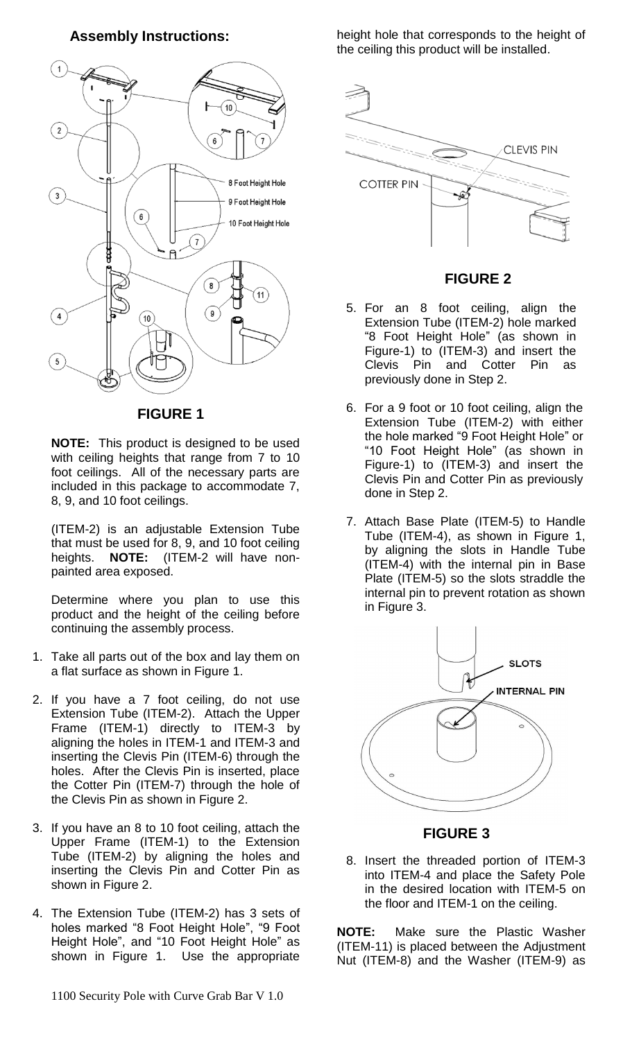**Assembly Instructions:**



**FIGURE 1**

**NOTE:** This product is designed to be used with ceiling heights that range from 7 to 10 foot ceilings. All of the necessary parts are included in this package to accommodate 7, 8, 9, and 10 foot ceilings.

(ITEM-2) is an adjustable Extension Tube that must be used for 8, 9, and 10 foot ceiling heights. **NOTE:** (ITEM-2 will have nonpainted area exposed.

Determine where you plan to use this product and the height of the ceiling before continuing the assembly process.

- 1. Take all parts out of the box and lay them on a flat surface as shown in Figure 1.
- 2. If you have a 7 foot ceiling, do not use Extension Tube (ITEM-2). Attach the Upper Frame (ITEM-1) directly to ITEM-3 by aligning the holes in ITEM-1 and ITEM-3 and inserting the Clevis Pin (ITEM-6) through the holes. After the Clevis Pin is inserted, place the Cotter Pin (ITEM-7) through the hole of the Clevis Pin as shown in Figure 2.
- 3. If you have an 8 to 10 foot ceiling, attach the Upper Frame (ITEM-1) to the Extension Tube (ITEM-2) by aligning the holes and inserting the Clevis Pin and Cotter Pin as shown in Figure 2.
- 4. The Extension Tube (ITEM-2) has 3 sets of holes marked "8 Foot Height Hole", "9 Foot Height Hole", and "10 Foot Height Hole" as shown in Figure 1. Use the appropriate

1100 Security Pole with Curve Grab Bar V 1.0

height hole that corresponds to the height of the ceiling this product will be installed.



# **FIGURE 2**

- 5. For an 8 foot ceiling, align the Extension Tube (ITEM-2) hole marked "8 Foot Height Hole" (as shown in Figure-1) to (ITEM-3) and insert the Clevis Pin and Cotter Pin as previously done in Step 2.
- 6. For a 9 foot or 10 foot ceiling, align the Extension Tube (ITEM-2) with either the hole marked "9 Foot Height Hole" or "10 Foot Height Hole" (as shown in Figure-1) to (ITEM-3) and insert the Clevis Pin and Cotter Pin as previously done in Step 2.
- 7. Attach Base Plate (ITEM-5) to Handle Tube (ITEM-4), as shown in Figure 1, by aligning the slots in Handle Tube (ITEM-4) with the internal pin in Base Plate (ITEM-5) so the slots straddle the internal pin to prevent rotation as shown in Figure 3.



### **FIGURE 3**

8. Insert the threaded portion of ITEM-3 into ITEM-4 and place the Safety Pole in the desired location with ITEM-5 on the floor and ITEM-1 on the ceiling.

**NOTE:** Make sure the Plastic Washer (ITEM-11) is placed between the Adjustment Nut (ITEM-8) and the Washer (ITEM-9) as